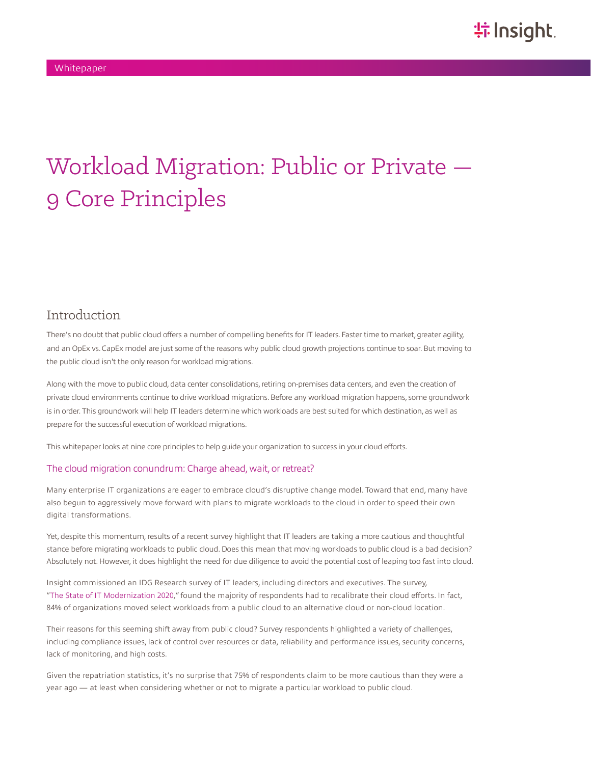# Workload Migration: Public or Private — 9 Core Principles

#### Introduction

There's no doubt that public cloud offers a number of compelling benefits for IT leaders. Faster time to market, greater agility, and an OpEx vs. CapEx model are just some of the reasons why public cloud growth projections continue to soar. But moving to the public cloud isn't the only reason for workload migrations.

Along with the move to public cloud, data center consolidations, retiring on-premises data centers, and even the creation of private cloud environments continue to drive workload migrations. Before any workload migration happens, some groundwork is in order. This groundwork will help IT leaders determine which workloads are best suited for which destination, as well as prepare for the successful execution of workload migrations.

This whitepaper looks at nine core principles to help guide your organization to success in your cloud efforts.

#### The cloud migration conundrum: Charge ahead, wait, or retreat?

Many enterprise IT organizations are eager to embrace cloud's disruptive change model. Toward that end, many have also begun to aggressively move forward with plans to migrate workloads to the cloud in order to speed their own digital transformations.

Yet, despite this momentum, results of a recent survey highlight that IT leaders are taking a more cautious and thoughtful stance before migrating workloads to public cloud. Does this mean that moving workloads to public cloud is a bad decision? Absolutely not. However, it does highlight the need for due diligence to avoid the potential cost of leaping too fast into cloud.

Insight commissioned an IDG Research survey of IT leaders, including directors and executives. The survey, "[The State of IT Modernization 2020,](https://solutions.insight.com/getattachment/a67b34bd-1a9a-42fe-a408-7afe180b96d8/Complete-IDG-survey-results.aspx)" found the majority of respondents had to recalibrate their cloud efforts. In fact, 84% of organizations moved select workloads from a public cloud to an alternative cloud or non-cloud location.

Their reasons for this seeming shift away from public cloud? Survey respondents highlighted a variety of challenges, including compliance issues, lack of control over resources or data, reliability and performance issues, security concerns, lack of monitoring, and high costs.

Given the repatriation statistics, it's no surprise that 75% of respondents claim to be more cautious than they were a year ago — at least when considering whether or not to migrate a particular workload to public cloud.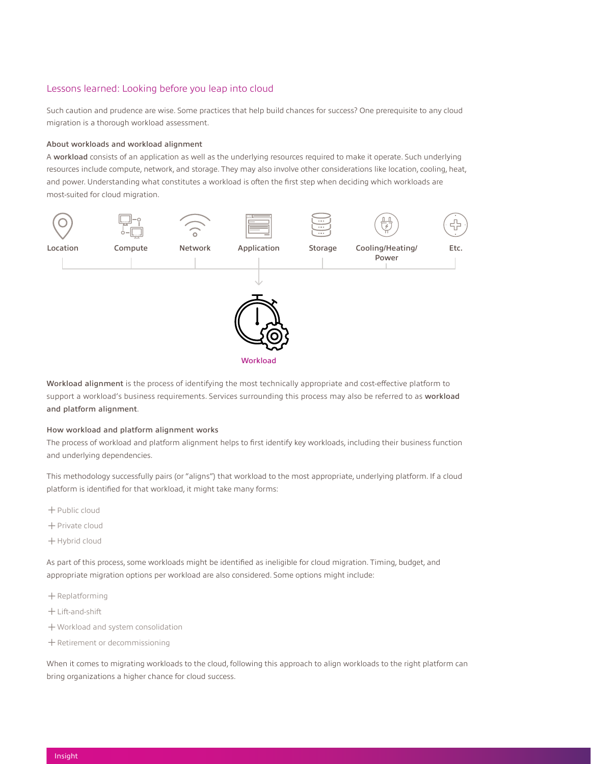#### Lessons learned: Looking before you leap into cloud

Such caution and prudence are wise. Some practices that help build chances for success? One prerequisite to any cloud migration is a thorough workload assessment.

#### About workloads and workload alignment

A workload consists of an application as well as the underlying resources required to make it operate. Such underlying resources include compute, network, and storage. They may also involve other considerations like location, cooling, heat, and power. Understanding what constitutes a workload is often the first step when deciding which workloads are most-suited for cloud migration.



Workload alignment is the process of identifying the most technically appropriate and cost-effective platform to support a workload's business requirements. Services surrounding this process may also be referred to as workload and platform alignment.

#### How workload and platform alignment works

The process of workload and platform alignment helps to first identify key workloads, including their business function and underlying dependencies.

This methodology successfully pairs (or "aligns") that workload to the most appropriate, underlying platform. If a cloud platform is identified for that workload, it might take many forms:

- ͓Public cloud
- ͓Private cloud
- ͓Hybrid cloud

As part of this process, some workloads might be identified as ineligible for cloud migration. Timing, budget, and appropriate migration options per workload are also considered. Some options might include:

- $+$  Replatforming
- ͓Lift-and-shift
- ͓Workload and system consolidation
- ͓Retirement or decommissioning

When it comes to migrating workloads to the cloud, following this approach to align workloads to the right platform can bring organizations a higher chance for cloud success.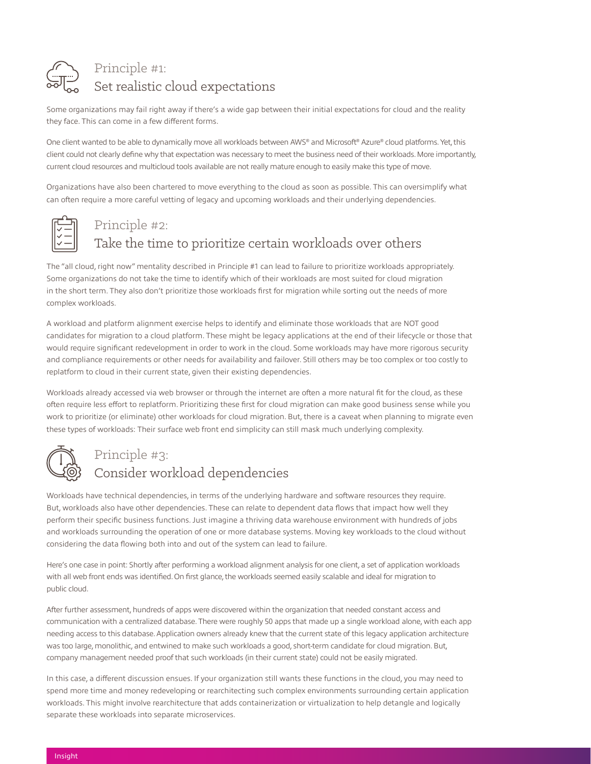

## Principle #1: Set realistic cloud expectations

Some organizations may fail right away if there's a wide gap between their initial expectations for cloud and the reality they face. This can come in a few different forms.

One client wanted to be able to dynamically move all workloads between AWS® and Microsoft® Azure® cloud platforms. Yet, this client could not clearly define why that expectation was necessary to meet the business need of their workloads. More importantly, current cloud resources and multicloud tools available are not really mature enough to easily make this type of move.

Organizations have also been chartered to move everything to the cloud as soon as possible. This can oversimplify what can often require a more careful vetting of legacy and upcoming workloads and their underlying dependencies.

# Principle #2:

# Take the time to prioritize certain workloads over others

The "all cloud, right now" mentality described in Principle #1 can lead to failure to prioritize workloads appropriately. Some organizations do not take the time to identify which of their workloads are most suited for cloud migration in the short term. They also don't prioritize those workloads first for migration while sorting out the needs of more complex workloads.

A workload and platform alignment exercise helps to identify and eliminate those workloads that are NOT good candidates for migration to a cloud platform. These might be legacy applications at the end of their lifecycle or those that would require significant redevelopment in order to work in the cloud. Some workloads may have more rigorous security and compliance requirements or other needs for availability and failover. Still others may be too complex or too costly to replatform to cloud in their current state, given their existing dependencies.

Workloads already accessed via web browser or through the internet are often a more natural fit for the cloud, as these often require less effort to replatform. Prioritizing these first for cloud migration can make good business sense while you work to prioritize (or eliminate) other workloads for cloud migration. But, there is a caveat when planning to migrate even these types of workloads: Their surface web front end simplicity can still mask much underlying complexity.



### Principle #3: Consider workload dependencies

Workloads have technical dependencies, in terms of the underlying hardware and software resources they require. But, workloads also have other dependencies. These can relate to dependent data flows that impact how well they perform their specific business functions. Just imagine a thriving data warehouse environment with hundreds of jobs and workloads surrounding the operation of one or more database systems. Moving key workloads to the cloud without considering the data flowing both into and out of the system can lead to failure.

Here's one case in point: Shortly after performing a workload alignment analysis for one client, a set of application workloads with all web front ends was identified. On first glance, the workloads seemed easily scalable and ideal for migration to public cloud.

After further assessment, hundreds of apps were discovered within the organization that needed constant access and communication with a centralized database. There were roughly 50 apps that made up a single workload alone, with each app needing access to this database. Application owners already knew that the current state of this legacy application architecture was too large, monolithic, and entwined to make such workloads a good, short-term candidate for cloud migration. But, company management needed proof that such workloads (in their current state) could not be easily migrated.

In this case, a different discussion ensues. If your organization still wants these functions in the cloud, you may need to spend more time and money redeveloping or rearchitecting such complex environments surrounding certain application workloads. This might involve rearchitecture that adds containerization or virtualization to help detangle and logically separate these workloads into separate microservices.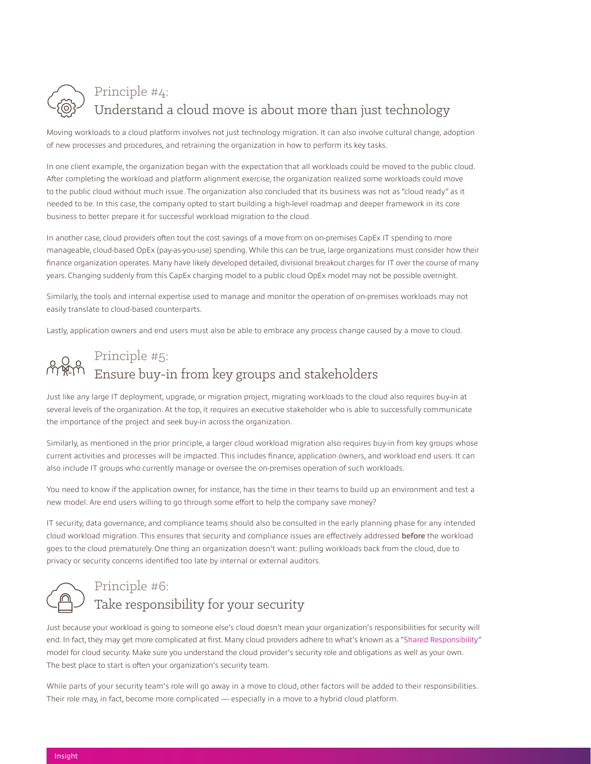

#### Principle #4: Understand a cloud move is about more than just technology

Moving workloads to a cloud platform involves not just technology migration. It can also involve cultural change, adoption of new processes and procedures, and retraining the organization in how to perform its key tasks.

In one client example, the organization began with the expectation that all workloads could be moved to the public cloud. After completing the workload and platform alignment exercise, the organization realized some workloads could move to the public cloud without much issue. The organization also concluded that its business was not as "cloud ready" as it needed to be. In this case, the company opted to start building a high-level roadmap and deeper framework in its core business to better prepare it for successful workload migration to the cloud.

In another case, cloud providers often tout the cost savings of a move from on on-premises CapEx IT spending to more manageable, cloud-based OpEx (pay-as-you-use) spending. While this can be true, large organizations must consider how their finance organization operates. Many have likely developed detailed, divisional breakout charges for IT over the course of many years. Changing suddenly from this CapEx charging model to a public cloud OpEx model may not be possible overnight.

Similarly, the tools and internal expertise used to manage and monitor the operation of on-premises workloads may not easily translate to cloud-based counterparts.

Lastly, application owners and end users must also be able to embrace any process change caused by a move to cloud.

### Principle #5: Ensure buy-in from key groups and stakeholders

Just like any large IT deployment, upgrade, or migration project, migrating workloads to the cloud also requires buy-in at several levels of the organization. At the top, it requires an executive stakeholder who is able to successfully communicate the importance of the project and seek buy-in across the organization.

Similarly, as mentioned in the prior principle, a larger cloud workload migration also requires buy-in from key groups whose current activities and processes will be impacted. This includes finance, application owners, and workload end users. It can also include IT groups who currently manage or oversee the on-premises operation of such workloads.

You need to know if the application owner, for instance, has the time in their teams to build up an environment and test a new model. Are end users willing to go through some effort to help the company save money?

IT security, data governance, and compliance teams should also be consulted in the early planning phase for any intended cloud workload migration. This ensures that security and compliance issues are effectively addressed before the workload goes to the cloud prematurely. One thing an organization doesn't want: pulling workloads back from the cloud, due to privacy or security concerns identified too late by internal or external auditors.



#### Principle #6:

#### Take responsibility for your security

Just because your workload is going to someone else's cloud doesn't mean your organization's responsibilities for security will end. In fact, they may get more complicated at first. Many cloud providers adhere to what's known as a "[Shared Responsibility"](https://solutions.insight.com/getattachment/74ac2b79-3668-4e53-8071-40cff745c7e1/Moving-Workloads-to-the-Public-Cloud.aspx) model for cloud security. Make sure you understand the cloud provider's security role and obligations as well as your own. The best place to start is often your organization's security team.

While parts of your security team's role will go away in a move to cloud, other factors will be added to their responsibilities. Their role may, in fact, become more complicated — especially in a move to a hybrid cloud platform.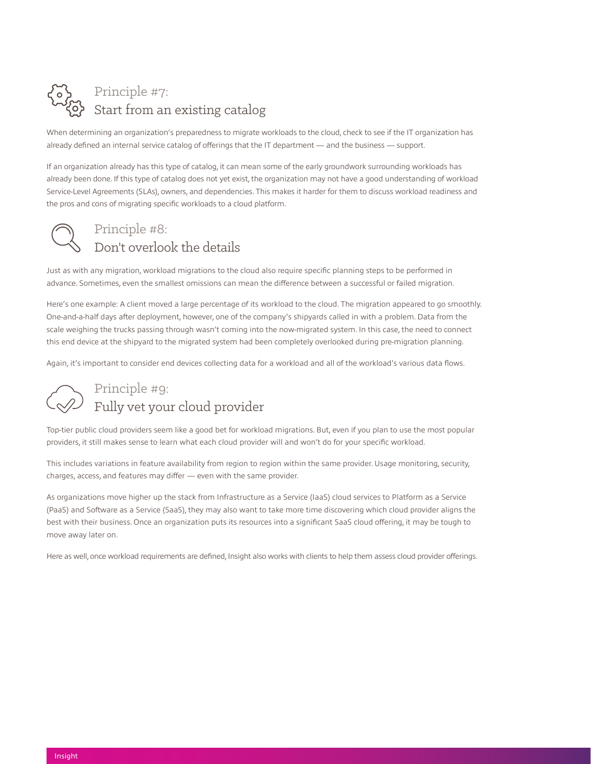## Principle #7: Start from an existing catalog

When determining an organization's preparedness to migrate workloads to the cloud, check to see if the IT organization has already defined an internal service catalog of offerings that the IT department — and the business — support.

If an organization already has this type of catalog, it can mean some of the early groundwork surrounding workloads has already been done. If this type of catalog does not yet exist, the organization may not have a good understanding of workload Service-Level Agreements (SLAs), owners, and dependencies. This makes it harder for them to discuss workload readiness and the pros and cons of migrating specific workloads to a cloud platform.

#### Principle #8: Don't overlook the details

Just as with any migration, workload migrations to the cloud also require specific planning steps to be performed in advance. Sometimes, even the smallest omissions can mean the difference between a successful or failed migration.

Here's one example: A client moved a large percentage of its workload to the cloud. The migration appeared to go smoothly. One-and-a-half days after deployment, however, one of the company's shipyards called in with a problem. Data from the scale weighing the trucks passing through wasn't coming into the now-migrated system. In this case, the need to connect this end device at the shipyard to the migrated system had been completely overlooked during pre-migration planning.

Again, it's important to consider end devices collecting data for a workload and all of the workload's various data flows.

## Principle #9: Fully vet your cloud provider

Top-tier public cloud providers seem like a good bet for workload migrations. But, even if you plan to use the most popular providers, it still makes sense to learn what each cloud provider will and won't do for your specific workload.

This includes variations in feature availability from region to region within the same provider. Usage monitoring, security, charges, access, and features may differ — even with the same provider.

As organizations move higher up the stack from Infrastructure as a Service (IaaS) cloud services to Platform as a Service (PaaS) and Software as a Service (SaaS), they may also want to take more time discovering which cloud provider aligns the best with their business. Once an organization puts its resources into a significant SaaS cloud offering, it may be tough to move away later on.

Here as well, once workload requirements are defined, Insight also works with clients to help them assess cloud provider offerings.